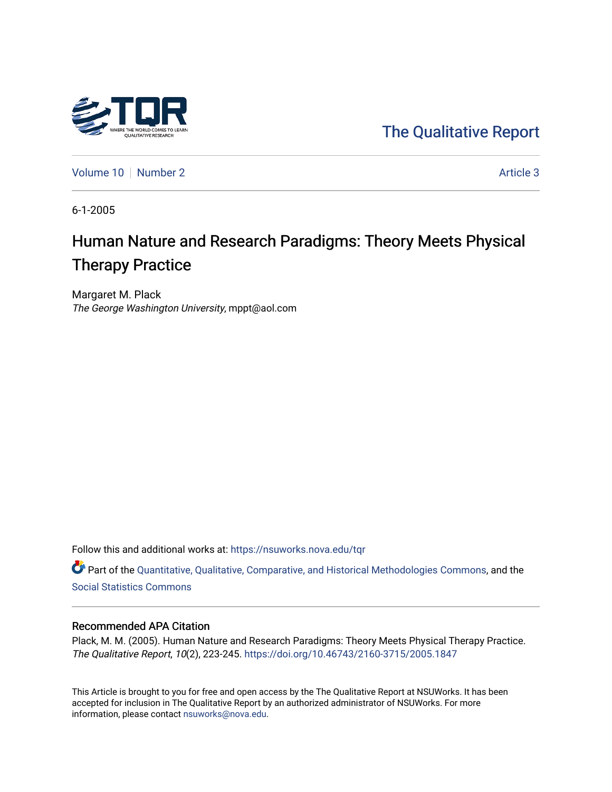

[The Qualitative Report](https://nsuworks.nova.edu/tqr) 

[Volume 10](https://nsuworks.nova.edu/tqr/vol10) [Number 2](https://nsuworks.nova.edu/tqr/vol10/iss2) Article 3

6-1-2005

# Human Nature and Research Paradigms: Theory Meets Physical Therapy Practice

Margaret M. Plack The George Washington University, mppt@aol.com

Follow this and additional works at: [https://nsuworks.nova.edu/tqr](https://nsuworks.nova.edu/tqr?utm_source=nsuworks.nova.edu%2Ftqr%2Fvol10%2Fiss2%2F3&utm_medium=PDF&utm_campaign=PDFCoverPages) 

Part of the [Quantitative, Qualitative, Comparative, and Historical Methodologies Commons,](http://network.bepress.com/hgg/discipline/423?utm_source=nsuworks.nova.edu%2Ftqr%2Fvol10%2Fiss2%2F3&utm_medium=PDF&utm_campaign=PDFCoverPages) and the [Social Statistics Commons](http://network.bepress.com/hgg/discipline/1275?utm_source=nsuworks.nova.edu%2Ftqr%2Fvol10%2Fiss2%2F3&utm_medium=PDF&utm_campaign=PDFCoverPages) 

# Recommended APA Citation

Plack, M. M. (2005). Human Nature and Research Paradigms: Theory Meets Physical Therapy Practice. The Qualitative Report, 10(2), 223-245. <https://doi.org/10.46743/2160-3715/2005.1847>

This Article is brought to you for free and open access by the The Qualitative Report at NSUWorks. It has been accepted for inclusion in The Qualitative Report by an authorized administrator of NSUWorks. For more information, please contact [nsuworks@nova.edu.](mailto:nsuworks@nova.edu)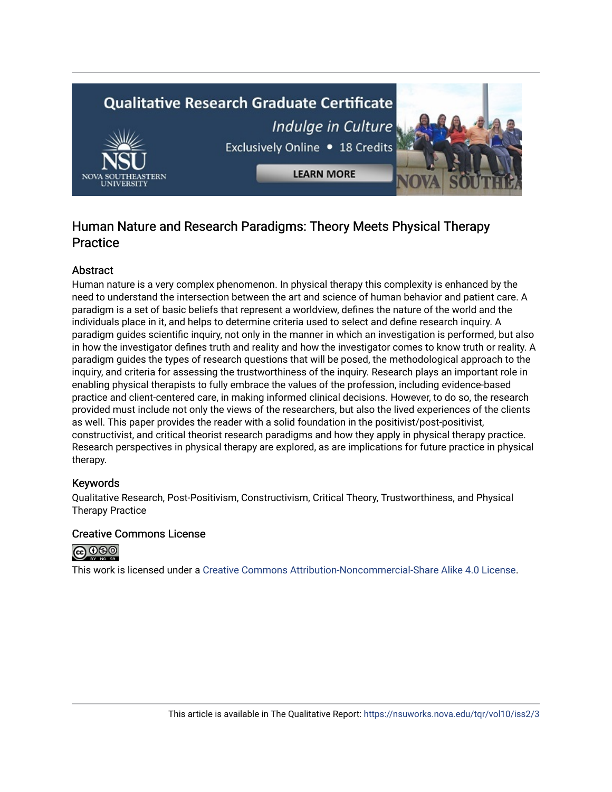# **Qualitative Research Graduate Certificate** Indulge in Culture Exclusively Online . 18 Credits

**LEARN MORE** 

# Human Nature and Research Paradigms: Theory Meets Physical Therapy Practice

# Abstract

Human nature is a very complex phenomenon. In physical therapy this complexity is enhanced by the need to understand the intersection between the art and science of human behavior and patient care. A paradigm is a set of basic beliefs that represent a worldview, defines the nature of the world and the individuals place in it, and helps to determine criteria used to select and define research inquiry. A paradigm guides scientific inquiry, not only in the manner in which an investigation is performed, but also in how the investigator defines truth and reality and how the investigator comes to know truth or reality. A paradigm guides the types of research questions that will be posed, the methodological approach to the inquiry, and criteria for assessing the trustworthiness of the inquiry. Research plays an important role in enabling physical therapists to fully embrace the values of the profession, including evidence-based practice and client-centered care, in making informed clinical decisions. However, to do so, the research provided must include not only the views of the researchers, but also the lived experiences of the clients as well. This paper provides the reader with a solid foundation in the positivist/post-positivist, constructivist, and critical theorist research paradigms and how they apply in physical therapy practice. Research perspectives in physical therapy are explored, as are implications for future practice in physical therapy.

# Keywords

Qualitative Research, Post-Positivism, Constructivism, Critical Theory, Trustworthiness, and Physical Therapy Practice

# Creative Commons License



This work is licensed under a [Creative Commons Attribution-Noncommercial-Share Alike 4.0 License](https://creativecommons.org/licenses/by-nc-sa/4.0/).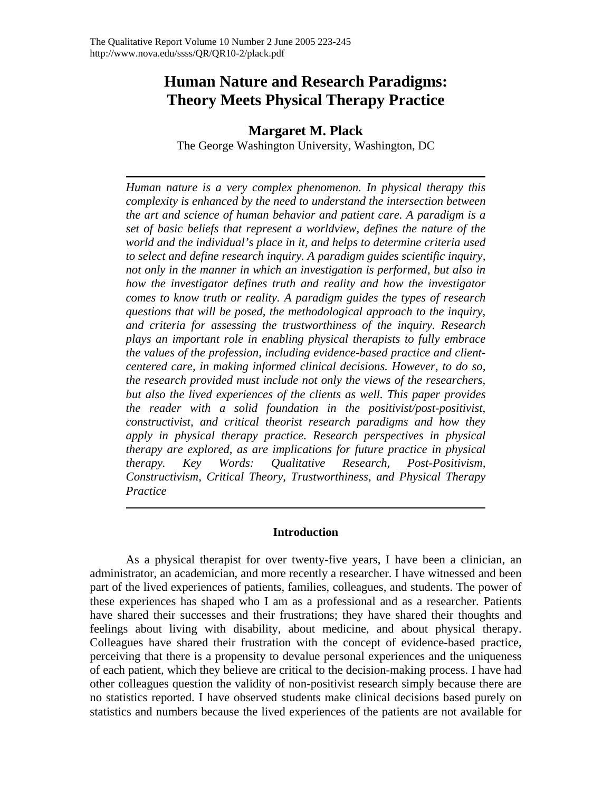# **Human Nature and Research Paradigms: Theory Meets Physical Therapy Practice**

# **Margaret M. Plack**

The George Washington University, Washington, DC

*Human nature is a very complex phenomenon. In physical therapy this complexity is enhanced by the need to understand the intersection between the art and science of human behavior and patient care. A paradigm is a set of basic beliefs that represent a worldview, defines the nature of the world and the individual's place in it, and helps to determine criteria used to select and define research inquiry. A paradigm guides scientific inquiry, not only in the manner in which an investigation is performed, but also in how the investigator defines truth and reality and how the investigator comes to know truth or reality. A paradigm guides the types of research questions that will be posed, the methodological approach to the inquiry, and criteria for assessing the trustworthiness of the inquiry. Research plays an important role in enabling physical therapists to fully embrace the values of the profession, including evidence-based practice and clientcentered care, in making informed clinical decisions. However, to do so, the research provided must include not only the views of the researchers, but also the lived experiences of the clients as well. This paper provides the reader with a solid foundation in the positivist/post-positivist, constructivist, and critical theorist research paradigms and how they apply in physical therapy practice. Research perspectives in physical therapy are explored, as are implications for future practice in physical therapy. Key Words: Qualitative Research, Post-Positivism, Constructivism, Critical Theory, Trustworthiness, and Physical Therapy Practice* 

# **Introduction**

As a physical therapist for over twenty-five years, I have been a clinician, an administrator, an academician, and more recently a researcher. I have witnessed and been part of the lived experiences of patients, families, colleagues, and students. The power of these experiences has shaped who I am as a professional and as a researcher. Patients have shared their successes and their frustrations; they have shared their thoughts and feelings about living with disability, about medicine, and about physical therapy. Colleagues have shared their frustration with the concept of evidence-based practice, perceiving that there is a propensity to devalue personal experiences and the uniqueness of each patient, which they believe are critical to the decision-making process. I have had other colleagues question the validity of non-positivist research simply because there are no statistics reported. I have observed students make clinical decisions based purely on statistics and numbers because the lived experiences of the patients are not available for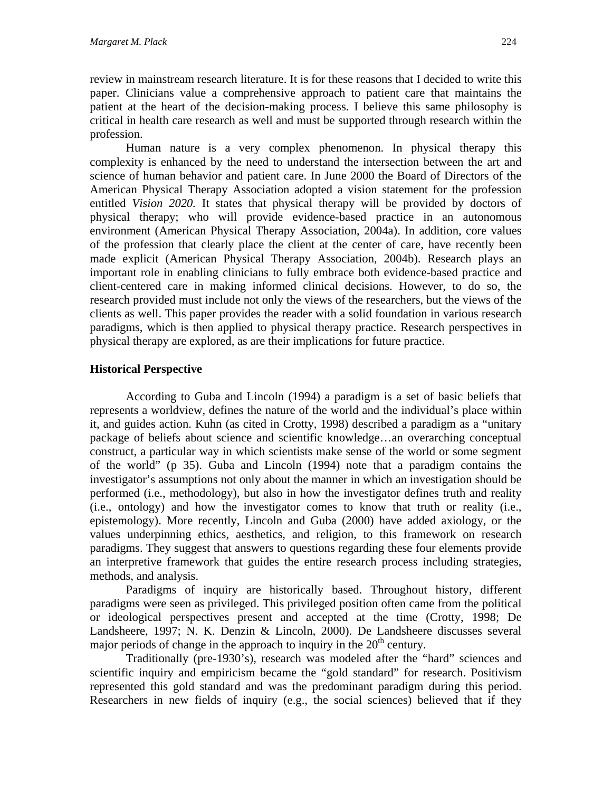review in mainstream research literature. It is for these reasons that I decided to write this paper. Clinicians value a comprehensive approach to patient care that maintains the patient at the heart of the decision-making process. I believe this same philosophy is critical in health care research as well and must be supported through research within the profession.

Human nature is a very complex phenomenon. In physical therapy this complexity is enhanced by the need to understand the intersection between the art and science of human behavior and patient care. In June 2000 the Board of Directors of the American Physical Therapy Association adopted a vision statement for the profession entitled *Vision 2020.* It states that physical therapy will be provided by doctors of physical therapy; who will provide evidence-based practice in an autonomous environment (American Physical Therapy Association, 2004a). In addition, core values of the profession that clearly place the client at the center of care, have recently been made explicit (American Physical Therapy Association, 2004b). Research plays an important role in enabling clinicians to fully embrace both evidence-based practice and client-centered care in making informed clinical decisions. However, to do so, the research provided must include not only the views of the researchers, but the views of the clients as well. This paper provides the reader with a solid foundation in various research paradigms, which is then applied to physical therapy practice. Research perspectives in physical therapy are explored, as are their implications for future practice.

# **Historical Perspective**

According to Guba and Lincoln (1994) a paradigm is a set of basic beliefs that represents a worldview, defines the nature of the world and the individual's place within it, and guides action. Kuhn (as cited in Crotty, 1998) described a paradigm as a "unitary package of beliefs about science and scientific knowledge…an overarching conceptual construct, a particular way in which scientists make sense of the world or some segment of the world" (p 35). Guba and Lincoln (1994) note that a paradigm contains the investigator's assumptions not only about the manner in which an investigation should be performed (i.e., methodology), but also in how the investigator defines truth and reality (i.e., ontology) and how the investigator comes to know that truth or reality (i.e., epistemology). More recently, Lincoln and Guba (2000) have added axiology, or the values underpinning ethics, aesthetics, and religion, to this framework on research paradigms. They suggest that answers to questions regarding these four elements provide an interpretive framework that guides the entire research process including strategies, methods, and analysis.

Paradigms of inquiry are historically based. Throughout history, different paradigms were seen as privileged. This privileged position often came from the political or ideological perspectives present and accepted at the time (Crotty, 1998; De Landsheere, 1997; N. K. Denzin & Lincoln, 2000). De Landsheere discusses several major periods of change in the approach to inquiry in the  $20<sup>th</sup>$  century.

Traditionally (pre-1930's), research was modeled after the "hard" sciences and scientific inquiry and empiricism became the "gold standard" for research. Positivism represented this gold standard and was the predominant paradigm during this period. Researchers in new fields of inquiry (e.g., the social sciences) believed that if they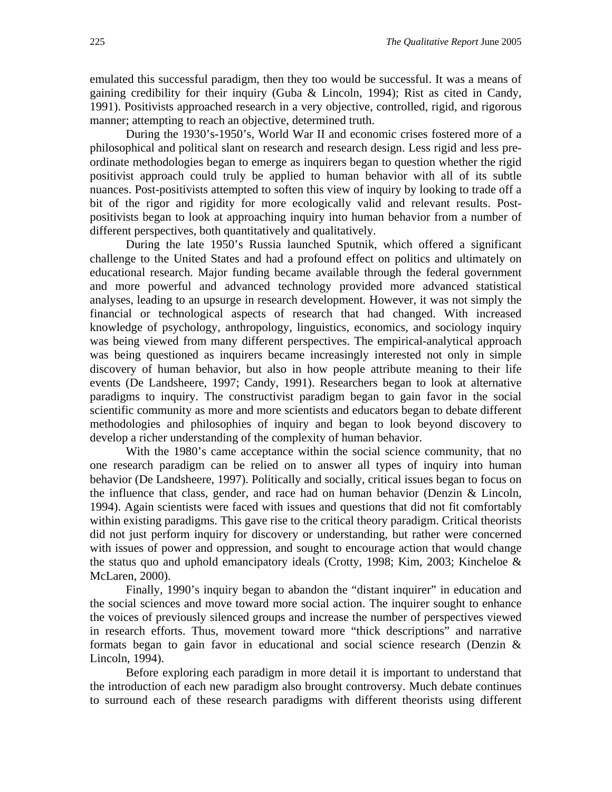emulated this successful paradigm, then they too would be successful. It was a means of gaining credibility for their inquiry (Guba & Lincoln, 1994); Rist as cited in Candy, 1991). Positivists approached research in a very objective, controlled, rigid, and rigorous manner; attempting to reach an objective, determined truth.

During the 1930's-1950's, World War II and economic crises fostered more of a philosophical and political slant on research and research design. Less rigid and less preordinate methodologies began to emerge as inquirers began to question whether the rigid positivist approach could truly be applied to human behavior with all of its subtle nuances. Post-positivists attempted to soften this view of inquiry by looking to trade off a bit of the rigor and rigidity for more ecologically valid and relevant results. Postpositivists began to look at approaching inquiry into human behavior from a number of different perspectives, both quantitatively and qualitatively.

During the late 1950's Russia launched Sputnik, which offered a significant challenge to the United States and had a profound effect on politics and ultimately on educational research. Major funding became available through the federal government and more powerful and advanced technology provided more advanced statistical analyses, leading to an upsurge in research development. However, it was not simply the financial or technological aspects of research that had changed. With increased knowledge of psychology, anthropology, linguistics, economics, and sociology inquiry was being viewed from many different perspectives. The empirical-analytical approach was being questioned as inquirers became increasingly interested not only in simple discovery of human behavior, but also in how people attribute meaning to their life events (De Landsheere, 1997; Candy, 1991). Researchers began to look at alternative paradigms to inquiry. The constructivist paradigm began to gain favor in the social scientific community as more and more scientists and educators began to debate different methodologies and philosophies of inquiry and began to look beyond discovery to develop a richer understanding of the complexity of human behavior.

With the 1980's came acceptance within the social science community, that no one research paradigm can be relied on to answer all types of inquiry into human behavior (De Landsheere, 1997). Politically and socially, critical issues began to focus on the influence that class, gender, and race had on human behavior (Denzin & Lincoln, 1994). Again scientists were faced with issues and questions that did not fit comfortably within existing paradigms. This gave rise to the critical theory paradigm. Critical theorists did not just perform inquiry for discovery or understanding, but rather were concerned with issues of power and oppression, and sought to encourage action that would change the status quo and uphold emancipatory ideals (Crotty, 1998; Kim, 2003; Kincheloe & McLaren, 2000).

Finally, 1990's inquiry began to abandon the "distant inquirer" in education and the social sciences and move toward more social action. The inquirer sought to enhance the voices of previously silenced groups and increase the number of perspectives viewed in research efforts. Thus, movement toward more "thick descriptions" and narrative formats began to gain favor in educational and social science research (Denzin & Lincoln, 1994).

Before exploring each paradigm in more detail it is important to understand that the introduction of each new paradigm also brought controversy. Much debate continues to surround each of these research paradigms with different theorists using different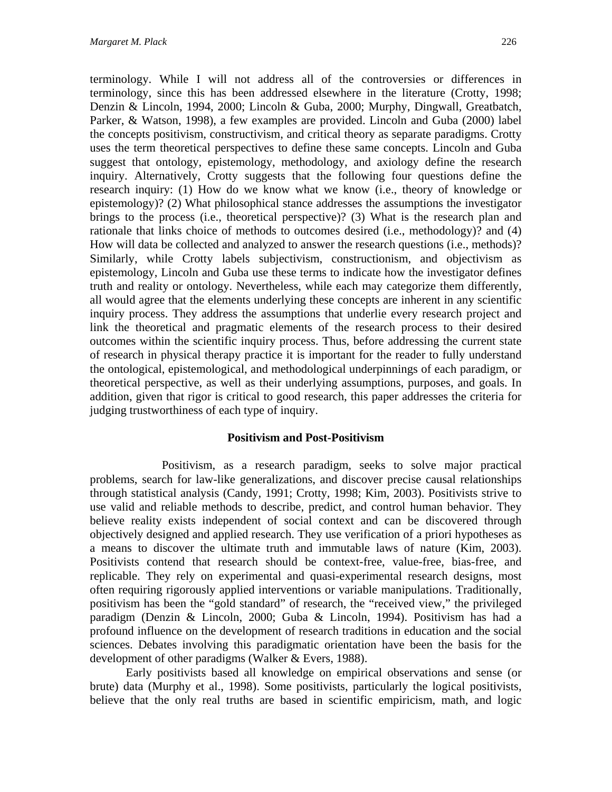terminology. While I will not address all of the controversies or differences in terminology, since this has been addressed elsewhere in the literature (Crotty, 1998; Denzin & Lincoln, 1994, 2000; Lincoln & Guba, 2000; Murphy, Dingwall, Greatbatch, Parker, & Watson, 1998), a few examples are provided. Lincoln and Guba (2000) label the concepts positivism, constructivism, and critical theory as separate paradigms. Crotty uses the term theoretical perspectives to define these same concepts. Lincoln and Guba suggest that ontology, epistemology, methodology, and axiology define the research inquiry. Alternatively, Crotty suggests that the following four questions define the research inquiry: (1) How do we know what we know (i.e., theory of knowledge or epistemology)? (2) What philosophical stance addresses the assumptions the investigator brings to the process (i.e., theoretical perspective)? (3) What is the research plan and rationale that links choice of methods to outcomes desired (i.e., methodology)? and (4) How will data be collected and analyzed to answer the research questions (i.e., methods)? Similarly, while Crotty labels subjectivism, constructionism, and objectivism as epistemology, Lincoln and Guba use these terms to indicate how the investigator defines truth and reality or ontology. Nevertheless, while each may categorize them differently, all would agree that the elements underlying these concepts are inherent in any scientific inquiry process. They address the assumptions that underlie every research project and link the theoretical and pragmatic elements of the research process to their desired outcomes within the scientific inquiry process. Thus, before addressing the current state of research in physical therapy practice it is important for the reader to fully understand the ontological, epistemological, and methodological underpinnings of each paradigm, or theoretical perspective, as well as their underlying assumptions, purposes, and goals. In addition, given that rigor is critical to good research, this paper addresses the criteria for judging trustworthiness of each type of inquiry.

# **Positivism and Post-Positivism**

Positivism, as a research paradigm, seeks to solve major practical problems, search for law-like generalizations, and discover precise causal relationships through statistical analysis (Candy, 1991; Crotty, 1998; Kim, 2003). Positivists strive to use valid and reliable methods to describe, predict, and control human behavior. They believe reality exists independent of social context and can be discovered through objectively designed and applied research. They use verification of a priori hypotheses as a means to discover the ultimate truth and immutable laws of nature (Kim, 2003). Positivists contend that research should be context-free, value-free, bias-free, and replicable. They rely on experimental and quasi-experimental research designs, most often requiring rigorously applied interventions or variable manipulations. Traditionally, positivism has been the "gold standard" of research, the "received view," the privileged paradigm (Denzin & Lincoln, 2000; Guba & Lincoln, 1994). Positivism has had a profound influence on the development of research traditions in education and the social sciences. Debates involving this paradigmatic orientation have been the basis for the development of other paradigms (Walker & Evers, 1988).

Early positivists based all knowledge on empirical observations and sense (or brute) data (Murphy et al., 1998). Some positivists, particularly the logical positivists, believe that the only real truths are based in scientific empiricism, math, and logic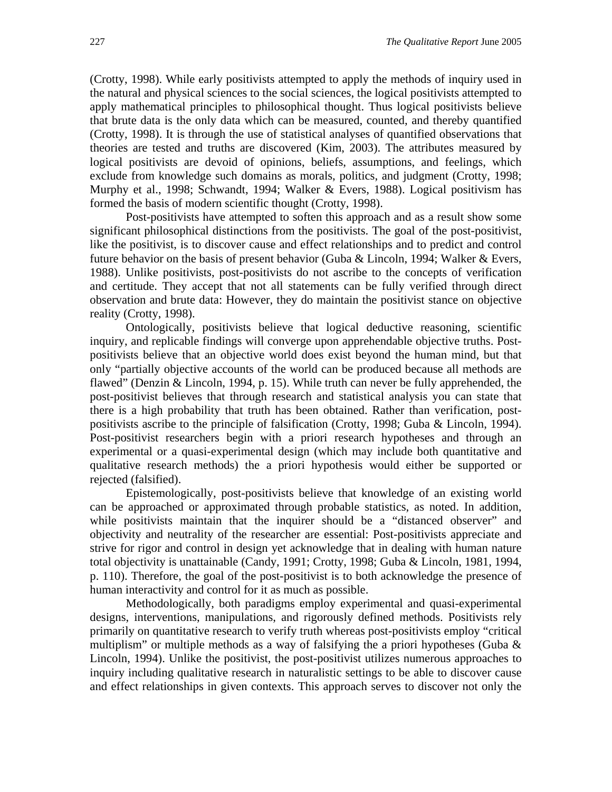(Crotty, 1998). While early positivists attempted to apply the methods of inquiry used in the natural and physical sciences to the social sciences, the logical positivists attempted to apply mathematical principles to philosophical thought. Thus logical positivists believe that brute data is the only data which can be measured, counted, and thereby quantified (Crotty, 1998). It is through the use of statistical analyses of quantified observations that theories are tested and truths are discovered (Kim, 2003). The attributes measured by logical positivists are devoid of opinions, beliefs, assumptions, and feelings, which exclude from knowledge such domains as morals, politics, and judgment (Crotty, 1998; Murphy et al., 1998; Schwandt, 1994; Walker & Evers, 1988). Logical positivism has formed the basis of modern scientific thought (Crotty, 1998).

Post-positivists have attempted to soften this approach and as a result show some significant philosophical distinctions from the positivists. The goal of the post-positivist, like the positivist, is to discover cause and effect relationships and to predict and control future behavior on the basis of present behavior (Guba & Lincoln, 1994; Walker & Evers, 1988). Unlike positivists, post-positivists do not ascribe to the concepts of verification and certitude. They accept that not all statements can be fully verified through direct observation and brute data: However, they do maintain the positivist stance on objective reality (Crotty, 1998).

Ontologically, positivists believe that logical deductive reasoning, scientific inquiry, and replicable findings will converge upon apprehendable objective truths. Postpositivists believe that an objective world does exist beyond the human mind, but that only "partially objective accounts of the world can be produced because all methods are flawed" (Denzin & Lincoln, 1994, p. 15). While truth can never be fully apprehended, the post-positivist believes that through research and statistical analysis you can state that there is a high probability that truth has been obtained. Rather than verification, postpositivists ascribe to the principle of falsification (Crotty, 1998; Guba & Lincoln, 1994). Post-positivist researchers begin with a priori research hypotheses and through an experimental or a quasi-experimental design (which may include both quantitative and qualitative research methods) the a priori hypothesis would either be supported or rejected (falsified).

Epistemologically, post-positivists believe that knowledge of an existing world can be approached or approximated through probable statistics, as noted. In addition, while positivists maintain that the inquirer should be a "distanced observer" and objectivity and neutrality of the researcher are essential: Post-positivists appreciate and strive for rigor and control in design yet acknowledge that in dealing with human nature total objectivity is unattainable (Candy, 1991; Crotty, 1998; Guba & Lincoln, 1981, 1994, p. 110). Therefore, the goal of the post-positivist is to both acknowledge the presence of human interactivity and control for it as much as possible.

Methodologically, both paradigms employ experimental and quasi-experimental designs, interventions, manipulations, and rigorously defined methods. Positivists rely primarily on quantitative research to verify truth whereas post-positivists employ "critical multiplism" or multiple methods as a way of falsifying the a priori hypotheses (Guba  $\&$ Lincoln, 1994). Unlike the positivist, the post-positivist utilizes numerous approaches to inquiry including qualitative research in naturalistic settings to be able to discover cause and effect relationships in given contexts. This approach serves to discover not only the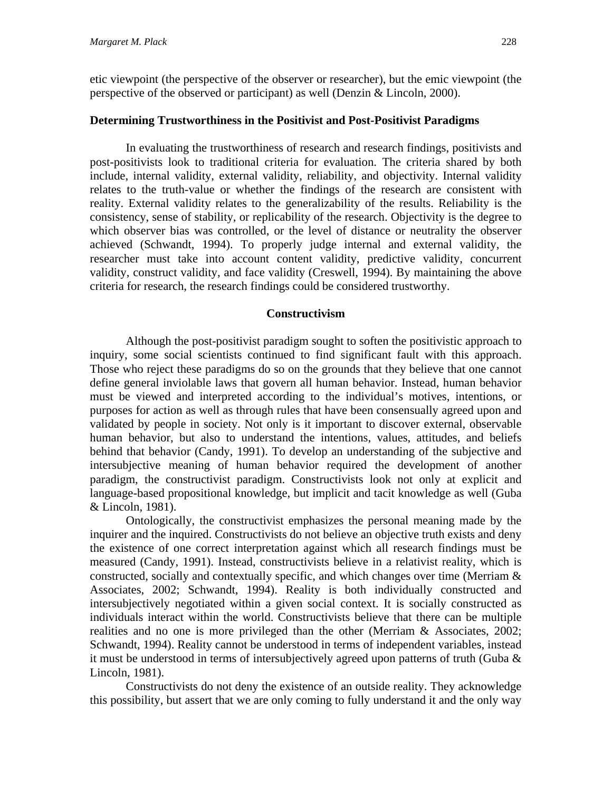# **Determining Trustworthiness in the Positivist and Post-Positivist Paradigms**

In evaluating the trustworthiness of research and research findings, positivists and post-positivists look to traditional criteria for evaluation. The criteria shared by both include, internal validity, external validity, reliability, and objectivity. Internal validity relates to the truth-value or whether the findings of the research are consistent with reality. External validity relates to the generalizability of the results. Reliability is the consistency, sense of stability, or replicability of the research. Objectivity is the degree to which observer bias was controlled, or the level of distance or neutrality the observer achieved (Schwandt, 1994). To properly judge internal and external validity, the researcher must take into account content validity, predictive validity, concurrent validity, construct validity, and face validity (Creswell, 1994). By maintaining the above criteria for research, the research findings could be considered trustworthy.

# **Constructivism**

Although the post-positivist paradigm sought to soften the positivistic approach to inquiry, some social scientists continued to find significant fault with this approach. Those who reject these paradigms do so on the grounds that they believe that one cannot define general inviolable laws that govern all human behavior. Instead, human behavior must be viewed and interpreted according to the individual's motives, intentions, or purposes for action as well as through rules that have been consensually agreed upon and validated by people in society. Not only is it important to discover external, observable human behavior, but also to understand the intentions, values, attitudes, and beliefs behind that behavior (Candy, 1991). To develop an understanding of the subjective and intersubjective meaning of human behavior required the development of another paradigm, the constructivist paradigm. Constructivists look not only at explicit and language-based propositional knowledge, but implicit and tacit knowledge as well (Guba & Lincoln, 1981).

Ontologically, the constructivist emphasizes the personal meaning made by the inquirer and the inquired. Constructivists do not believe an objective truth exists and deny the existence of one correct interpretation against which all research findings must be measured (Candy, 1991). Instead, constructivists believe in a relativist reality, which is constructed, socially and contextually specific, and which changes over time (Merriam & Associates, 2002; Schwandt, 1994). Reality is both individually constructed and intersubjectively negotiated within a given social context. It is socially constructed as individuals interact within the world. Constructivists believe that there can be multiple realities and no one is more privileged than the other (Merriam & Associates, 2002; Schwandt, 1994). Reality cannot be understood in terms of independent variables, instead it must be understood in terms of intersubjectively agreed upon patterns of truth (Guba & Lincoln, 1981).

Constructivists do not deny the existence of an outside reality. They acknowledge this possibility, but assert that we are only coming to fully understand it and the only way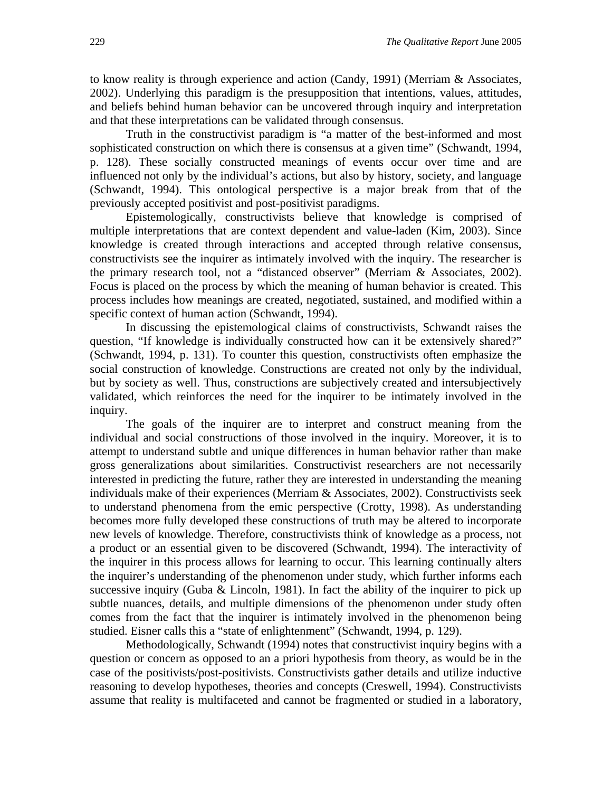to know reality is through experience and action (Candy, 1991) (Merriam  $\&$  Associates, 2002). Underlying this paradigm is the presupposition that intentions, values, attitudes, and beliefs behind human behavior can be uncovered through inquiry and interpretation and that these interpretations can be validated through consensus.

Truth in the constructivist paradigm is "a matter of the best-informed and most sophisticated construction on which there is consensus at a given time" (Schwandt, 1994, p. 128). These socially constructed meanings of events occur over time and are influenced not only by the individual's actions, but also by history, society, and language (Schwandt, 1994). This ontological perspective is a major break from that of the previously accepted positivist and post-positivist paradigms.

Epistemologically, constructivists believe that knowledge is comprised of multiple interpretations that are context dependent and value-laden (Kim, 2003). Since knowledge is created through interactions and accepted through relative consensus, constructivists see the inquirer as intimately involved with the inquiry. The researcher is the primary research tool, not a "distanced observer" (Merriam & Associates, 2002). Focus is placed on the process by which the meaning of human behavior is created. This process includes how meanings are created, negotiated, sustained, and modified within a specific context of human action (Schwandt, 1994).

In discussing the epistemological claims of constructivists, Schwandt raises the question, "If knowledge is individually constructed how can it be extensively shared?" (Schwandt, 1994, p. 131). To counter this question, constructivists often emphasize the social construction of knowledge. Constructions are created not only by the individual, but by society as well. Thus, constructions are subjectively created and intersubjectively validated, which reinforces the need for the inquirer to be intimately involved in the inquiry.

The goals of the inquirer are to interpret and construct meaning from the individual and social constructions of those involved in the inquiry. Moreover, it is to attempt to understand subtle and unique differences in human behavior rather than make gross generalizations about similarities. Constructivist researchers are not necessarily interested in predicting the future, rather they are interested in understanding the meaning individuals make of their experiences (Merriam & Associates, 2002). Constructivists seek to understand phenomena from the emic perspective (Crotty, 1998). As understanding becomes more fully developed these constructions of truth may be altered to incorporate new levels of knowledge. Therefore, constructivists think of knowledge as a process, not a product or an essential given to be discovered (Schwandt, 1994). The interactivity of the inquirer in this process allows for learning to occur. This learning continually alters the inquirer's understanding of the phenomenon under study, which further informs each successive inquiry (Guba & Lincoln, 1981). In fact the ability of the inquirer to pick up subtle nuances, details, and multiple dimensions of the phenomenon under study often comes from the fact that the inquirer is intimately involved in the phenomenon being studied. Eisner calls this a "state of enlightenment" (Schwandt, 1994, p. 129).

Methodologically, Schwandt (1994) notes that constructivist inquiry begins with a question or concern as opposed to an a priori hypothesis from theory, as would be in the case of the positivists/post-positivists. Constructivists gather details and utilize inductive reasoning to develop hypotheses, theories and concepts (Creswell, 1994). Constructivists assume that reality is multifaceted and cannot be fragmented or studied in a laboratory,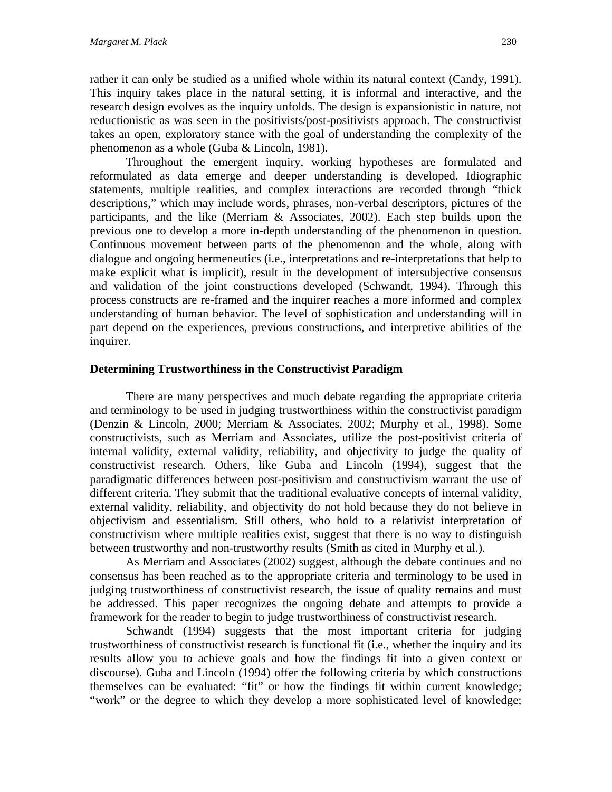rather it can only be studied as a unified whole within its natural context (Candy, 1991). This inquiry takes place in the natural setting, it is informal and interactive, and the research design evolves as the inquiry unfolds. The design is expansionistic in nature, not reductionistic as was seen in the positivists/post-positivists approach. The constructivist takes an open, exploratory stance with the goal of understanding the complexity of the phenomenon as a whole (Guba & Lincoln, 1981).

Throughout the emergent inquiry, working hypotheses are formulated and reformulated as data emerge and deeper understanding is developed. Idiographic statements, multiple realities, and complex interactions are recorded through "thick descriptions," which may include words, phrases, non-verbal descriptors, pictures of the participants, and the like (Merriam & Associates, 2002). Each step builds upon the previous one to develop a more in-depth understanding of the phenomenon in question. Continuous movement between parts of the phenomenon and the whole, along with dialogue and ongoing hermeneutics (i.e., interpretations and re-interpretations that help to make explicit what is implicit), result in the development of intersubjective consensus and validation of the joint constructions developed (Schwandt, 1994). Through this process constructs are re-framed and the inquirer reaches a more informed and complex understanding of human behavior. The level of sophistication and understanding will in part depend on the experiences, previous constructions, and interpretive abilities of the inquirer.

## **Determining Trustworthiness in the Constructivist Paradigm**

There are many perspectives and much debate regarding the appropriate criteria and terminology to be used in judging trustworthiness within the constructivist paradigm (Denzin & Lincoln, 2000; Merriam & Associates, 2002; Murphy et al., 1998). Some constructivists, such as Merriam and Associates, utilize the post-positivist criteria of internal validity, external validity, reliability, and objectivity to judge the quality of constructivist research. Others, like Guba and Lincoln (1994), suggest that the paradigmatic differences between post-positivism and constructivism warrant the use of different criteria. They submit that the traditional evaluative concepts of internal validity, external validity, reliability, and objectivity do not hold because they do not believe in objectivism and essentialism. Still others, who hold to a relativist interpretation of constructivism where multiple realities exist, suggest that there is no way to distinguish between trustworthy and non-trustworthy results (Smith as cited in Murphy et al.).

As Merriam and Associates (2002) suggest, although the debate continues and no consensus has been reached as to the appropriate criteria and terminology to be used in judging trustworthiness of constructivist research, the issue of quality remains and must be addressed. This paper recognizes the ongoing debate and attempts to provide a framework for the reader to begin to judge trustworthiness of constructivist research.

Schwandt (1994) suggests that the most important criteria for judging trustworthiness of constructivist research is functional fit (i.e., whether the inquiry and its results allow you to achieve goals and how the findings fit into a given context or discourse). Guba and Lincoln (1994) offer the following criteria by which constructions themselves can be evaluated: "fit" or how the findings fit within current knowledge; "work" or the degree to which they develop a more sophisticated level of knowledge;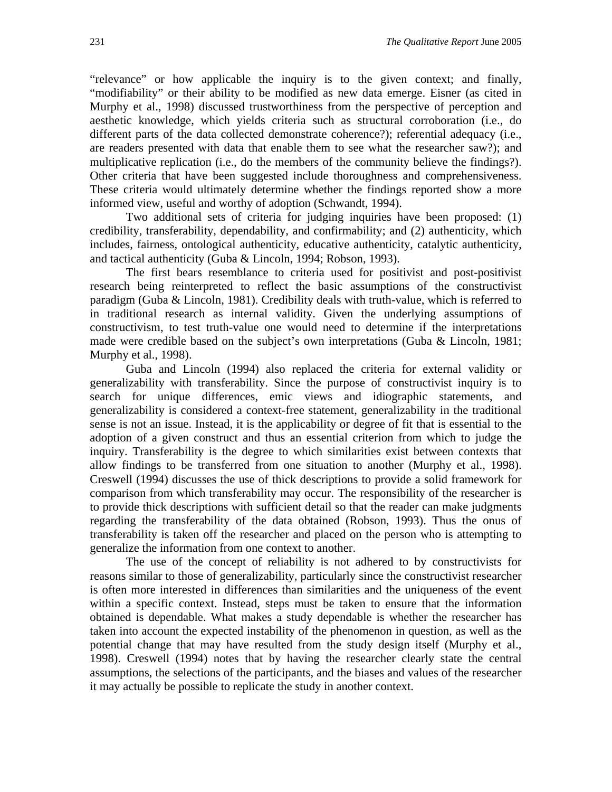"relevance" or how applicable the inquiry is to the given context; and finally, "modifiability" or their ability to be modified as new data emerge. Eisner (as cited in Murphy et al., 1998) discussed trustworthiness from the perspective of perception and aesthetic knowledge, which yields criteria such as structural corroboration (i.e., do different parts of the data collected demonstrate coherence?); referential adequacy (i.e., are readers presented with data that enable them to see what the researcher saw?); and multiplicative replication (i.e., do the members of the community believe the findings?). Other criteria that have been suggested include thoroughness and comprehensiveness. These criteria would ultimately determine whether the findings reported show a more informed view, useful and worthy of adoption (Schwandt, 1994).

Two additional sets of criteria for judging inquiries have been proposed: (1) credibility, transferability, dependability, and confirmability; and (2) authenticity, which includes, fairness, ontological authenticity, educative authenticity, catalytic authenticity, and tactical authenticity (Guba & Lincoln, 1994; Robson, 1993).

The first bears resemblance to criteria used for positivist and post-positivist research being reinterpreted to reflect the basic assumptions of the constructivist paradigm (Guba & Lincoln, 1981). Credibility deals with truth-value, which is referred to in traditional research as internal validity. Given the underlying assumptions of constructivism, to test truth-value one would need to determine if the interpretations made were credible based on the subject's own interpretations (Guba & Lincoln, 1981; Murphy et al., 1998).

Guba and Lincoln (1994) also replaced the criteria for external validity or generalizability with transferability. Since the purpose of constructivist inquiry is to search for unique differences, emic views and idiographic statements, and generalizability is considered a context-free statement, generalizability in the traditional sense is not an issue. Instead, it is the applicability or degree of fit that is essential to the adoption of a given construct and thus an essential criterion from which to judge the inquiry. Transferability is the degree to which similarities exist between contexts that allow findings to be transferred from one situation to another (Murphy et al., 1998). Creswell (1994) discusses the use of thick descriptions to provide a solid framework for comparison from which transferability may occur. The responsibility of the researcher is to provide thick descriptions with sufficient detail so that the reader can make judgments regarding the transferability of the data obtained (Robson, 1993). Thus the onus of transferability is taken off the researcher and placed on the person who is attempting to generalize the information from one context to another.

The use of the concept of reliability is not adhered to by constructivists for reasons similar to those of generalizability, particularly since the constructivist researcher is often more interested in differences than similarities and the uniqueness of the event within a specific context. Instead, steps must be taken to ensure that the information obtained is dependable. What makes a study dependable is whether the researcher has taken into account the expected instability of the phenomenon in question, as well as the potential change that may have resulted from the study design itself (Murphy et al., 1998). Creswell (1994) notes that by having the researcher clearly state the central assumptions, the selections of the participants, and the biases and values of the researcher it may actually be possible to replicate the study in another context.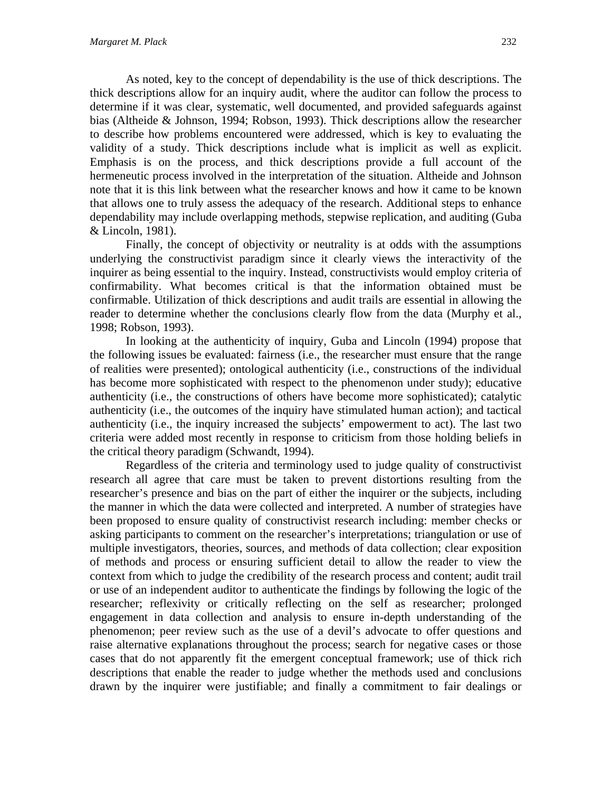As noted, key to the concept of dependability is the use of thick descriptions. The thick descriptions allow for an inquiry audit, where the auditor can follow the process to determine if it was clear, systematic, well documented, and provided safeguards against bias (Altheide & Johnson, 1994; Robson, 1993). Thick descriptions allow the researcher to describe how problems encountered were addressed, which is key to evaluating the validity of a study. Thick descriptions include what is implicit as well as explicit. Emphasis is on the process, and thick descriptions provide a full account of the hermeneutic process involved in the interpretation of the situation. Altheide and Johnson note that it is this link between what the researcher knows and how it came to be known that allows one to truly assess the adequacy of the research. Additional steps to enhance dependability may include overlapping methods, stepwise replication, and auditing (Guba & Lincoln, 1981).

Finally, the concept of objectivity or neutrality is at odds with the assumptions underlying the constructivist paradigm since it clearly views the interactivity of the inquirer as being essential to the inquiry. Instead, constructivists would employ criteria of confirmability. What becomes critical is that the information obtained must be confirmable. Utilization of thick descriptions and audit trails are essential in allowing the reader to determine whether the conclusions clearly flow from the data (Murphy et al., 1998; Robson, 1993).

In looking at the authenticity of inquiry, Guba and Lincoln (1994) propose that the following issues be evaluated: fairness (i.e., the researcher must ensure that the range of realities were presented); ontological authenticity (i.e., constructions of the individual has become more sophisticated with respect to the phenomenon under study); educative authenticity (i.e., the constructions of others have become more sophisticated); catalytic authenticity (i.e., the outcomes of the inquiry have stimulated human action); and tactical authenticity (i.e., the inquiry increased the subjects' empowerment to act). The last two criteria were added most recently in response to criticism from those holding beliefs in the critical theory paradigm (Schwandt, 1994).

Regardless of the criteria and terminology used to judge quality of constructivist research all agree that care must be taken to prevent distortions resulting from the researcher's presence and bias on the part of either the inquirer or the subjects, including the manner in which the data were collected and interpreted. A number of strategies have been proposed to ensure quality of constructivist research including: member checks or asking participants to comment on the researcher's interpretations; triangulation or use of multiple investigators, theories, sources, and methods of data collection; clear exposition of methods and process or ensuring sufficient detail to allow the reader to view the context from which to judge the credibility of the research process and content; audit trail or use of an independent auditor to authenticate the findings by following the logic of the researcher; reflexivity or critically reflecting on the self as researcher; prolonged engagement in data collection and analysis to ensure in-depth understanding of the phenomenon; peer review such as the use of a devil's advocate to offer questions and raise alternative explanations throughout the process; search for negative cases or those cases that do not apparently fit the emergent conceptual framework; use of thick rich descriptions that enable the reader to judge whether the methods used and conclusions drawn by the inquirer were justifiable; and finally a commitment to fair dealings or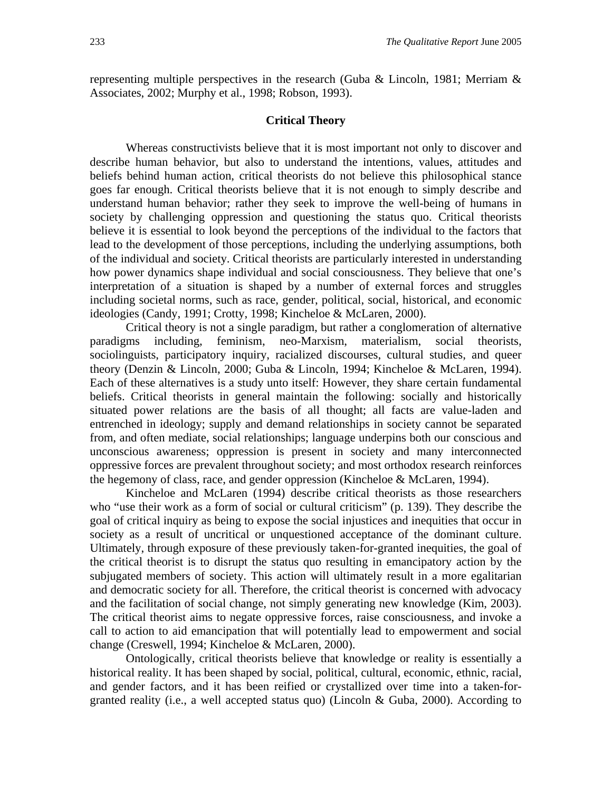representing multiple perspectives in the research (Guba & Lincoln, 1981; Merriam & Associates, 2002; Murphy et al., 1998; Robson, 1993).

## **Critical Theory**

Whereas constructivists believe that it is most important not only to discover and describe human behavior, but also to understand the intentions, values, attitudes and beliefs behind human action, critical theorists do not believe this philosophical stance goes far enough. Critical theorists believe that it is not enough to simply describe and understand human behavior; rather they seek to improve the well-being of humans in society by challenging oppression and questioning the status quo. Critical theorists believe it is essential to look beyond the perceptions of the individual to the factors that lead to the development of those perceptions, including the underlying assumptions, both of the individual and society. Critical theorists are particularly interested in understanding how power dynamics shape individual and social consciousness. They believe that one's interpretation of a situation is shaped by a number of external forces and struggles including societal norms, such as race, gender, political, social, historical, and economic ideologies (Candy, 1991; Crotty, 1998; Kincheloe & McLaren, 2000).

Critical theory is not a single paradigm, but rather a conglomeration of alternative paradigms including, feminism, neo-Marxism, materialism, social theorists, sociolinguists, participatory inquiry, racialized discourses, cultural studies, and queer theory (Denzin & Lincoln, 2000; Guba & Lincoln, 1994; Kincheloe & McLaren, 1994). Each of these alternatives is a study unto itself: However, they share certain fundamental beliefs. Critical theorists in general maintain the following: socially and historically situated power relations are the basis of all thought; all facts are value-laden and entrenched in ideology; supply and demand relationships in society cannot be separated from, and often mediate, social relationships; language underpins both our conscious and unconscious awareness; oppression is present in society and many interconnected oppressive forces are prevalent throughout society; and most orthodox research reinforces the hegemony of class, race, and gender oppression (Kincheloe & McLaren, 1994).

Kincheloe and McLaren (1994) describe critical theorists as those researchers who "use their work as a form of social or cultural criticism" (p. 139). They describe the goal of critical inquiry as being to expose the social injustices and inequities that occur in society as a result of uncritical or unquestioned acceptance of the dominant culture. Ultimately, through exposure of these previously taken-for-granted inequities, the goal of the critical theorist is to disrupt the status quo resulting in emancipatory action by the subjugated members of society. This action will ultimately result in a more egalitarian and democratic society for all. Therefore, the critical theorist is concerned with advocacy and the facilitation of social change, not simply generating new knowledge (Kim, 2003). The critical theorist aims to negate oppressive forces, raise consciousness, and invoke a call to action to aid emancipation that will potentially lead to empowerment and social change (Creswell, 1994; Kincheloe & McLaren, 2000).

Ontologically, critical theorists believe that knowledge or reality is essentially a historical reality. It has been shaped by social, political, cultural, economic, ethnic, racial, and gender factors, and it has been reified or crystallized over time into a taken-forgranted reality (i.e., a well accepted status quo) (Lincoln  $& Guba, 2000$ ). According to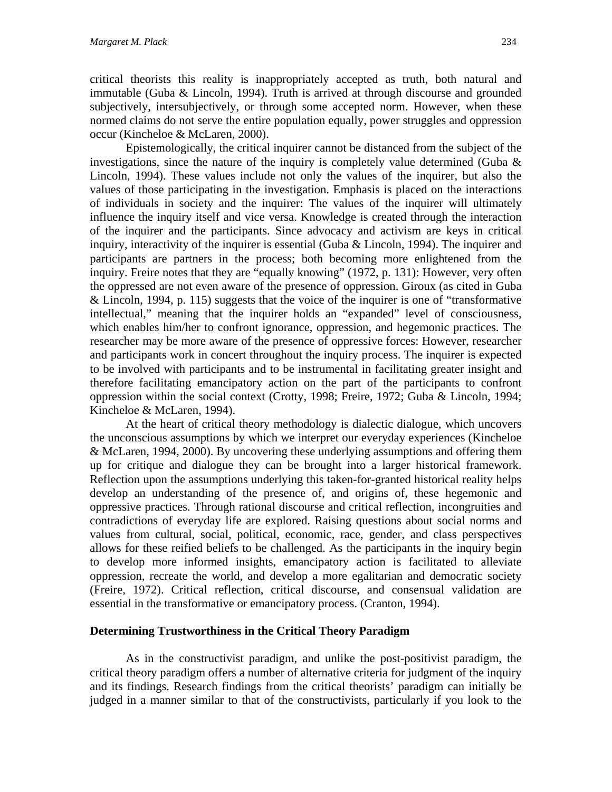critical theorists this reality is inappropriately accepted as truth, both natural and immutable (Guba & Lincoln, 1994). Truth is arrived at through discourse and grounded subjectively, intersubjectively, or through some accepted norm. However, when these normed claims do not serve the entire population equally, power struggles and oppression occur (Kincheloe & McLaren, 2000).

Epistemologically, the critical inquirer cannot be distanced from the subject of the investigations, since the nature of the inquiry is completely value determined (Guba  $\&$ Lincoln, 1994). These values include not only the values of the inquirer, but also the values of those participating in the investigation. Emphasis is placed on the interactions of individuals in society and the inquirer: The values of the inquirer will ultimately influence the inquiry itself and vice versa. Knowledge is created through the interaction of the inquirer and the participants. Since advocacy and activism are keys in critical inquiry, interactivity of the inquirer is essential (Guba & Lincoln, 1994). The inquirer and participants are partners in the process; both becoming more enlightened from the inquiry. Freire notes that they are "equally knowing" (1972, p. 131): However, very often the oppressed are not even aware of the presence of oppression. Giroux (as cited in Guba & Lincoln, 1994, p. 115) suggests that the voice of the inquirer is one of "transformative intellectual," meaning that the inquirer holds an "expanded" level of consciousness, which enables him/her to confront ignorance, oppression, and hegemonic practices. The researcher may be more aware of the presence of oppressive forces: However, researcher and participants work in concert throughout the inquiry process. The inquirer is expected to be involved with participants and to be instrumental in facilitating greater insight and therefore facilitating emancipatory action on the part of the participants to confront oppression within the social context (Crotty, 1998; Freire, 1972; Guba & Lincoln, 1994; Kincheloe & McLaren, 1994).

At the heart of critical theory methodology is dialectic dialogue, which uncovers the unconscious assumptions by which we interpret our everyday experiences (Kincheloe & McLaren, 1994, 2000). By uncovering these underlying assumptions and offering them up for critique and dialogue they can be brought into a larger historical framework. Reflection upon the assumptions underlying this taken-for-granted historical reality helps develop an understanding of the presence of, and origins of, these hegemonic and oppressive practices. Through rational discourse and critical reflection, incongruities and contradictions of everyday life are explored. Raising questions about social norms and values from cultural, social, political, economic, race, gender, and class perspectives allows for these reified beliefs to be challenged. As the participants in the inquiry begin to develop more informed insights, emancipatory action is facilitated to alleviate oppression, recreate the world, and develop a more egalitarian and democratic society (Freire, 1972). Critical reflection, critical discourse, and consensual validation are essential in the transformative or emancipatory process. (Cranton, 1994).

# **Determining Trustworthiness in the Critical Theory Paradigm**

As in the constructivist paradigm, and unlike the post-positivist paradigm, the critical theory paradigm offers a number of alternative criteria for judgment of the inquiry and its findings. Research findings from the critical theorists' paradigm can initially be judged in a manner similar to that of the constructivists, particularly if you look to the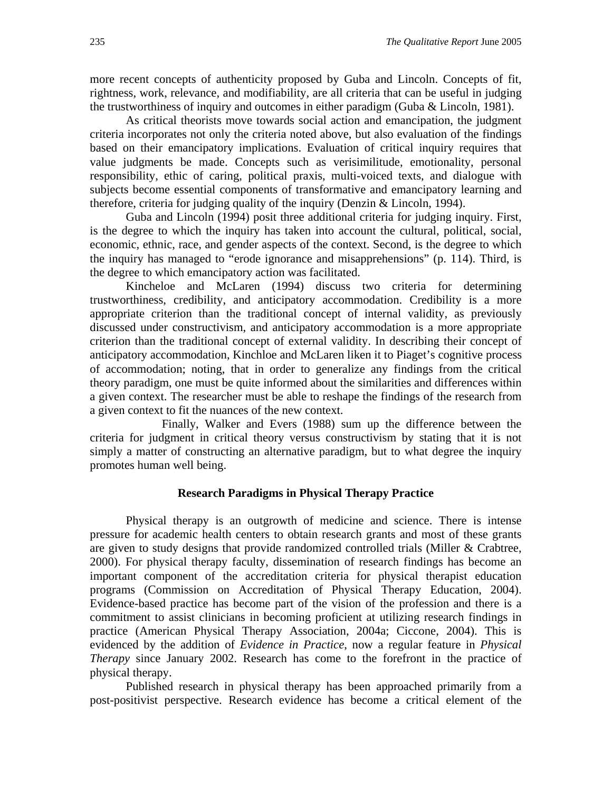more recent concepts of authenticity proposed by Guba and Lincoln. Concepts of fit, rightness, work, relevance, and modifiability, are all criteria that can be useful in judging the trustworthiness of inquiry and outcomes in either paradigm (Guba & Lincoln, 1981).

As critical theorists move towards social action and emancipation, the judgment criteria incorporates not only the criteria noted above, but also evaluation of the findings based on their emancipatory implications. Evaluation of critical inquiry requires that value judgments be made. Concepts such as verisimilitude, emotionality, personal responsibility, ethic of caring, political praxis, multi-voiced texts, and dialogue with subjects become essential components of transformative and emancipatory learning and therefore, criteria for judging quality of the inquiry (Denzin & Lincoln, 1994).

Guba and Lincoln (1994) posit three additional criteria for judging inquiry. First, is the degree to which the inquiry has taken into account the cultural, political, social, economic, ethnic, race, and gender aspects of the context. Second, is the degree to which the inquiry has managed to "erode ignorance and misapprehensions" (p. 114). Third, is the degree to which emancipatory action was facilitated.

Kincheloe and McLaren (1994) discuss two criteria for determining trustworthiness, credibility, and anticipatory accommodation. Credibility is a more appropriate criterion than the traditional concept of internal validity, as previously discussed under constructivism, and anticipatory accommodation is a more appropriate criterion than the traditional concept of external validity. In describing their concept of anticipatory accommodation, Kinchloe and McLaren liken it to Piaget's cognitive process of accommodation; noting, that in order to generalize any findings from the critical theory paradigm, one must be quite informed about the similarities and differences within a given context. The researcher must be able to reshape the findings of the research from a given context to fit the nuances of the new context.

 Finally, Walker and Evers (1988) sum up the difference between the criteria for judgment in critical theory versus constructivism by stating that it is not simply a matter of constructing an alternative paradigm, but to what degree the inquiry promotes human well being.

#### **Research Paradigms in Physical Therapy Practice**

Physical therapy is an outgrowth of medicine and science. There is intense pressure for academic health centers to obtain research grants and most of these grants are given to study designs that provide randomized controlled trials (Miller & Crabtree, 2000). For physical therapy faculty, dissemination of research findings has become an important component of the accreditation criteria for physical therapist education programs (Commission on Accreditation of Physical Therapy Education, 2004). Evidence-based practice has become part of the vision of the profession and there is a commitment to assist clinicians in becoming proficient at utilizing research findings in practice (American Physical Therapy Association, 2004a; Ciccone, 2004). This is evidenced by the addition of *Evidence in Practice*, now a regular feature in *Physical Therapy* since January 2002. Research has come to the forefront in the practice of physical therapy.

Published research in physical therapy has been approached primarily from a post-positivist perspective. Research evidence has become a critical element of the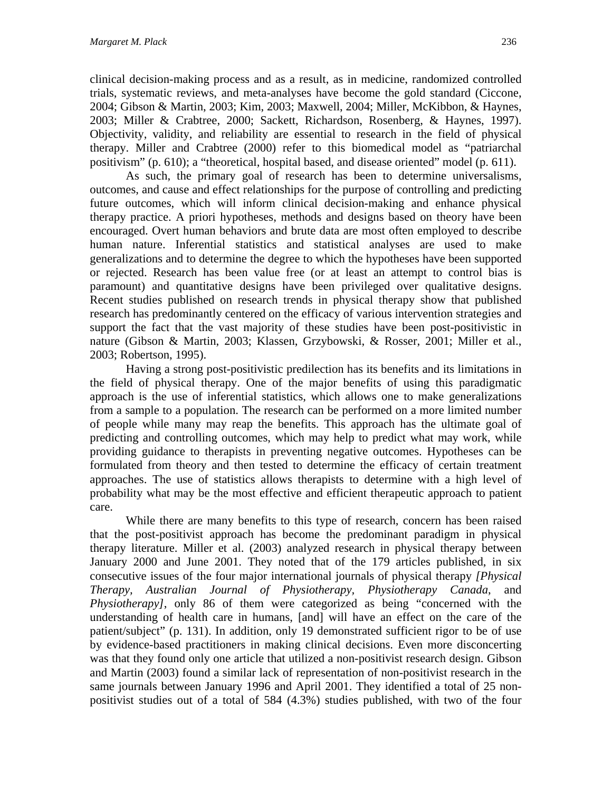clinical decision-making process and as a result, as in medicine, randomized controlled trials, systematic reviews, and meta-analyses have become the gold standard (Ciccone, 2004; Gibson & Martin, 2003; Kim, 2003; Maxwell, 2004; Miller, McKibbon, & Haynes, 2003; Miller & Crabtree, 2000; Sackett, Richardson, Rosenberg, & Haynes, 1997). Objectivity, validity, and reliability are essential to research in the field of physical therapy. Miller and Crabtree (2000) refer to this biomedical model as "patriarchal positivism" (p. 610); a "theoretical, hospital based, and disease oriented" model (p. 611).

As such, the primary goal of research has been to determine universalisms, outcomes, and cause and effect relationships for the purpose of controlling and predicting future outcomes, which will inform clinical decision-making and enhance physical therapy practice. A priori hypotheses, methods and designs based on theory have been encouraged. Overt human behaviors and brute data are most often employed to describe human nature. Inferential statistics and statistical analyses are used to make generalizations and to determine the degree to which the hypotheses have been supported or rejected. Research has been value free (or at least an attempt to control bias is paramount) and quantitative designs have been privileged over qualitative designs. Recent studies published on research trends in physical therapy show that published research has predominantly centered on the efficacy of various intervention strategies and support the fact that the vast majority of these studies have been post-positivistic in nature (Gibson & Martin, 2003; Klassen, Grzybowski, & Rosser, 2001; Miller et al., 2003; Robertson, 1995).

Having a strong post-positivistic predilection has its benefits and its limitations in the field of physical therapy. One of the major benefits of using this paradigmatic approach is the use of inferential statistics, which allows one to make generalizations from a sample to a population. The research can be performed on a more limited number of people while many may reap the benefits. This approach has the ultimate goal of predicting and controlling outcomes, which may help to predict what may work, while providing guidance to therapists in preventing negative outcomes. Hypotheses can be formulated from theory and then tested to determine the efficacy of certain treatment approaches. The use of statistics allows therapists to determine with a high level of probability what may be the most effective and efficient therapeutic approach to patient care.

While there are many benefits to this type of research, concern has been raised that the post-positivist approach has become the predominant paradigm in physical therapy literature. Miller et al. (2003) analyzed research in physical therapy between January 2000 and June 2001. They noted that of the 179 articles published, in six consecutive issues of the four major international journals of physical therapy *[Physical Therapy, Australian Journal of Physiotherapy, Physiotherapy Canada*, and *Physiotherapy]*, only 86 of them were categorized as being "concerned with the understanding of health care in humans, [and] will have an effect on the care of the patient/subject" (p. 131). In addition, only 19 demonstrated sufficient rigor to be of use by evidence-based practitioners in making clinical decisions. Even more disconcerting was that they found only one article that utilized a non-positivist research design. Gibson and Martin (2003) found a similar lack of representation of non-positivist research in the same journals between January 1996 and April 2001. They identified a total of 25 nonpositivist studies out of a total of 584 (4.3%) studies published, with two of the four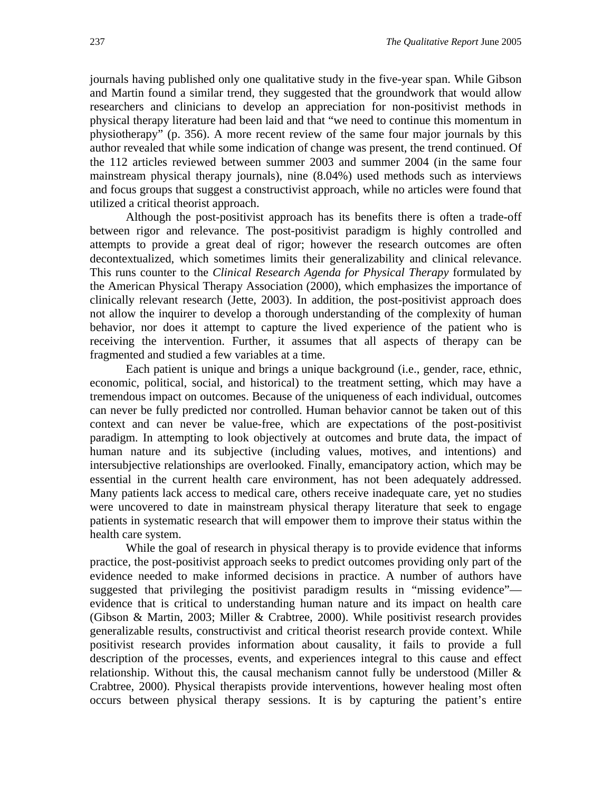journals having published only one qualitative study in the five-year span. While Gibson and Martin found a similar trend, they suggested that the groundwork that would allow researchers and clinicians to develop an appreciation for non-positivist methods in physical therapy literature had been laid and that "we need to continue this momentum in physiotherapy" (p. 356). A more recent review of the same four major journals by this author revealed that while some indication of change was present, the trend continued. Of the 112 articles reviewed between summer 2003 and summer 2004 (in the same four mainstream physical therapy journals), nine (8.04%) used methods such as interviews and focus groups that suggest a constructivist approach, while no articles were found that utilized a critical theorist approach.

Although the post-positivist approach has its benefits there is often a trade-off between rigor and relevance. The post-positivist paradigm is highly controlled and attempts to provide a great deal of rigor; however the research outcomes are often decontextualized, which sometimes limits their generalizability and clinical relevance. This runs counter to the *Clinical Research Agenda for Physical Therapy* formulated by the American Physical Therapy Association (2000), which emphasizes the importance of clinically relevant research (Jette, 2003). In addition, the post-positivist approach does not allow the inquirer to develop a thorough understanding of the complexity of human behavior, nor does it attempt to capture the lived experience of the patient who is receiving the intervention. Further, it assumes that all aspects of therapy can be fragmented and studied a few variables at a time.

Each patient is unique and brings a unique background (i.e., gender, race, ethnic, economic, political, social, and historical) to the treatment setting, which may have a tremendous impact on outcomes. Because of the uniqueness of each individual, outcomes can never be fully predicted nor controlled. Human behavior cannot be taken out of this context and can never be value-free, which are expectations of the post-positivist paradigm. In attempting to look objectively at outcomes and brute data, the impact of human nature and its subjective (including values, motives, and intentions) and intersubjective relationships are overlooked. Finally, emancipatory action, which may be essential in the current health care environment, has not been adequately addressed. Many patients lack access to medical care, others receive inadequate care, yet no studies were uncovered to date in mainstream physical therapy literature that seek to engage patients in systematic research that will empower them to improve their status within the health care system.

While the goal of research in physical therapy is to provide evidence that informs practice, the post-positivist approach seeks to predict outcomes providing only part of the evidence needed to make informed decisions in practice. A number of authors have suggested that privileging the positivist paradigm results in "missing evidence" evidence that is critical to understanding human nature and its impact on health care (Gibson & Martin, 2003; Miller & Crabtree, 2000). While positivist research provides generalizable results, constructivist and critical theorist research provide context. While positivist research provides information about causality, it fails to provide a full description of the processes, events, and experiences integral to this cause and effect relationship. Without this, the causal mechanism cannot fully be understood (Miller & Crabtree, 2000). Physical therapists provide interventions, however healing most often occurs between physical therapy sessions. It is by capturing the patient's entire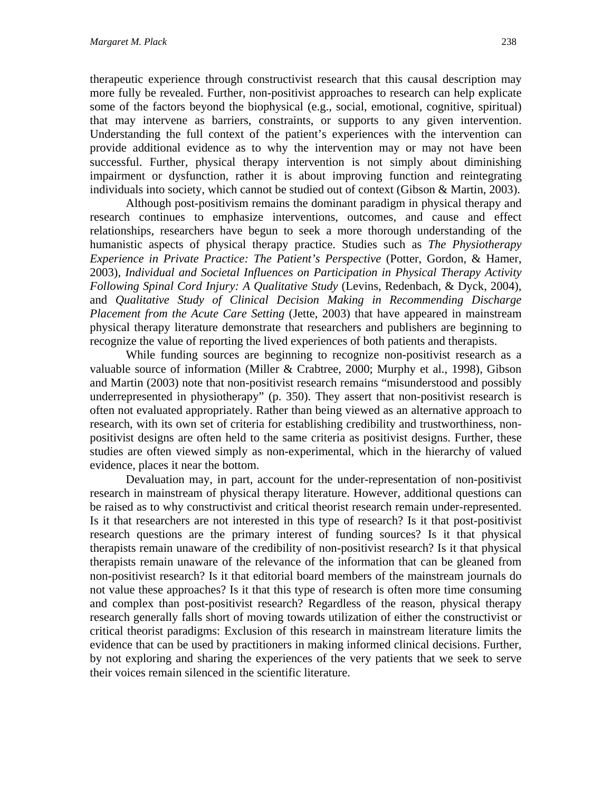therapeutic experience through constructivist research that this causal description may more fully be revealed. Further, non-positivist approaches to research can help explicate some of the factors beyond the biophysical (e.g., social, emotional, cognitive, spiritual) that may intervene as barriers, constraints, or supports to any given intervention. Understanding the full context of the patient's experiences with the intervention can provide additional evidence as to why the intervention may or may not have been successful. Further, physical therapy intervention is not simply about diminishing impairment or dysfunction, rather it is about improving function and reintegrating individuals into society, which cannot be studied out of context (Gibson & Martin, 2003).

Although post-positivism remains the dominant paradigm in physical therapy and research continues to emphasize interventions, outcomes, and cause and effect relationships, researchers have begun to seek a more thorough understanding of the humanistic aspects of physical therapy practice. Studies such as *The Physiotherapy Experience in Private Practice: The Patient's Perspective (Potter, Gordon, & Hamer,* 2003), *Individual and Societal Influences on Participation in Physical Therapy Activity Following Spinal Cord Injury: A Qualitative Study* (Levins, Redenbach, & Dyck, 2004), and *Qualitative Study of Clinical Decision Making in Recommending Discharge Placement from the Acute Care Setting* (Jette, 2003) that have appeared in mainstream physical therapy literature demonstrate that researchers and publishers are beginning to recognize the value of reporting the lived experiences of both patients and therapists.

While funding sources are beginning to recognize non-positivist research as a valuable source of information (Miller & Crabtree, 2000; Murphy et al., 1998), Gibson and Martin (2003) note that non-positivist research remains "misunderstood and possibly underrepresented in physiotherapy" (p. 350). They assert that non-positivist research is often not evaluated appropriately. Rather than being viewed as an alternative approach to research, with its own set of criteria for establishing credibility and trustworthiness, nonpositivist designs are often held to the same criteria as positivist designs. Further, these studies are often viewed simply as non-experimental, which in the hierarchy of valued evidence, places it near the bottom.

Devaluation may, in part, account for the under-representation of non-positivist research in mainstream of physical therapy literature. However, additional questions can be raised as to why constructivist and critical theorist research remain under-represented. Is it that researchers are not interested in this type of research? Is it that post-positivist research questions are the primary interest of funding sources? Is it that physical therapists remain unaware of the credibility of non-positivist research? Is it that physical therapists remain unaware of the relevance of the information that can be gleaned from non-positivist research? Is it that editorial board members of the mainstream journals do not value these approaches? Is it that this type of research is often more time consuming and complex than post-positivist research? Regardless of the reason, physical therapy research generally falls short of moving towards utilization of either the constructivist or critical theorist paradigms: Exclusion of this research in mainstream literature limits the evidence that can be used by practitioners in making informed clinical decisions. Further, by not exploring and sharing the experiences of the very patients that we seek to serve their voices remain silenced in the scientific literature.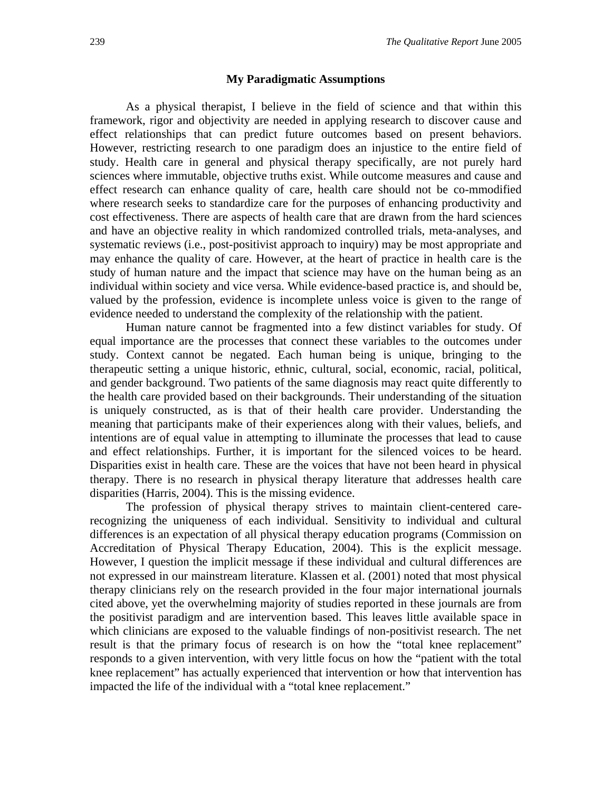#### **My Paradigmatic Assumptions**

As a physical therapist, I believe in the field of science and that within this framework, rigor and objectivity are needed in applying research to discover cause and effect relationships that can predict future outcomes based on present behaviors. However, restricting research to one paradigm does an injustice to the entire field of study. Health care in general and physical therapy specifically, are not purely hard sciences where immutable, objective truths exist. While outcome measures and cause and effect research can enhance quality of care, health care should not be co-mmodified where research seeks to standardize care for the purposes of enhancing productivity and cost effectiveness. There are aspects of health care that are drawn from the hard sciences and have an objective reality in which randomized controlled trials, meta-analyses, and systematic reviews (i.e., post-positivist approach to inquiry) may be most appropriate and may enhance the quality of care. However, at the heart of practice in health care is the study of human nature and the impact that science may have on the human being as an individual within society and vice versa. While evidence-based practice is, and should be, valued by the profession, evidence is incomplete unless voice is given to the range of evidence needed to understand the complexity of the relationship with the patient.

Human nature cannot be fragmented into a few distinct variables for study. Of equal importance are the processes that connect these variables to the outcomes under study. Context cannot be negated. Each human being is unique, bringing to the therapeutic setting a unique historic, ethnic, cultural, social, economic, racial, political, and gender background. Two patients of the same diagnosis may react quite differently to the health care provided based on their backgrounds. Their understanding of the situation is uniquely constructed, as is that of their health care provider. Understanding the meaning that participants make of their experiences along with their values, beliefs, and intentions are of equal value in attempting to illuminate the processes that lead to cause and effect relationships. Further, it is important for the silenced voices to be heard. Disparities exist in health care. These are the voices that have not been heard in physical therapy. There is no research in physical therapy literature that addresses health care disparities (Harris, 2004). This is the missing evidence.

The profession of physical therapy strives to maintain client-centered carerecognizing the uniqueness of each individual. Sensitivity to individual and cultural differences is an expectation of all physical therapy education programs (Commission on Accreditation of Physical Therapy Education, 2004). This is the explicit message. However, I question the implicit message if these individual and cultural differences are not expressed in our mainstream literature. Klassen et al. (2001) noted that most physical therapy clinicians rely on the research provided in the four major international journals cited above, yet the overwhelming majority of studies reported in these journals are from the positivist paradigm and are intervention based. This leaves little available space in which clinicians are exposed to the valuable findings of non-positivist research. The net result is that the primary focus of research is on how the "total knee replacement" responds to a given intervention, with very little focus on how the "patient with the total knee replacement" has actually experienced that intervention or how that intervention has impacted the life of the individual with a "total knee replacement."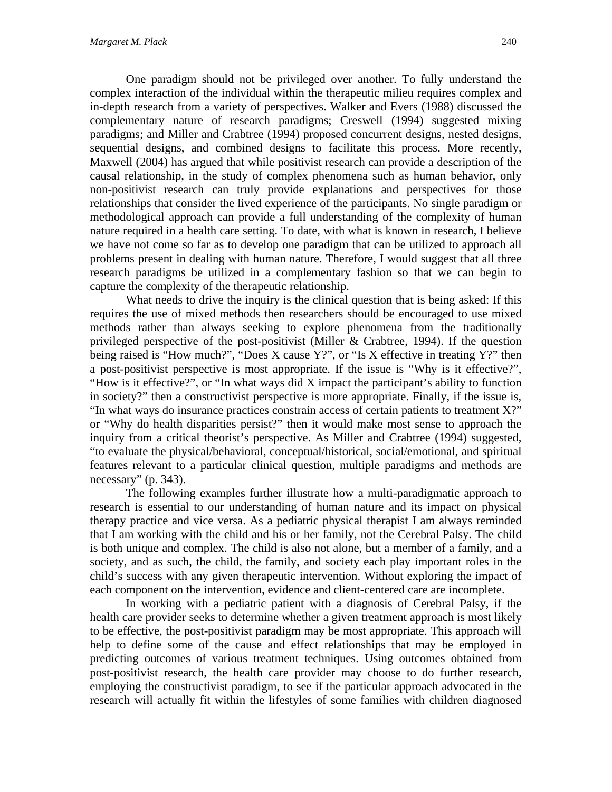One paradigm should not be privileged over another. To fully understand the complex interaction of the individual within the therapeutic milieu requires complex and in-depth research from a variety of perspectives. Walker and Evers (1988) discussed the complementary nature of research paradigms; Creswell (1994) suggested mixing paradigms; and Miller and Crabtree (1994) proposed concurrent designs, nested designs, sequential designs, and combined designs to facilitate this process. More recently, Maxwell (2004) has argued that while positivist research can provide a description of the causal relationship, in the study of complex phenomena such as human behavior, only non-positivist research can truly provide explanations and perspectives for those relationships that consider the lived experience of the participants. No single paradigm or methodological approach can provide a full understanding of the complexity of human nature required in a health care setting. To date, with what is known in research, I believe we have not come so far as to develop one paradigm that can be utilized to approach all problems present in dealing with human nature. Therefore, I would suggest that all three research paradigms be utilized in a complementary fashion so that we can begin to capture the complexity of the therapeutic relationship.

What needs to drive the inquiry is the clinical question that is being asked: If this requires the use of mixed methods then researchers should be encouraged to use mixed methods rather than always seeking to explore phenomena from the traditionally privileged perspective of the post-positivist (Miller & Crabtree, 1994). If the question being raised is "How much?", "Does X cause Y?", or "Is X effective in treating Y?" then a post-positivist perspective is most appropriate. If the issue is "Why is it effective?", "How is it effective?", or "In what ways did X impact the participant's ability to function in society?" then a constructivist perspective is more appropriate. Finally, if the issue is, "In what ways do insurance practices constrain access of certain patients to treatment X?" or "Why do health disparities persist?" then it would make most sense to approach the inquiry from a critical theorist's perspective. As Miller and Crabtree (1994) suggested, "to evaluate the physical/behavioral, conceptual/historical, social/emotional, and spiritual features relevant to a particular clinical question, multiple paradigms and methods are necessary" (p. 343).

The following examples further illustrate how a multi-paradigmatic approach to research is essential to our understanding of human nature and its impact on physical therapy practice and vice versa. As a pediatric physical therapist I am always reminded that I am working with the child and his or her family, not the Cerebral Palsy. The child is both unique and complex. The child is also not alone, but a member of a family, and a society, and as such, the child, the family, and society each play important roles in the child's success with any given therapeutic intervention. Without exploring the impact of each component on the intervention, evidence and client-centered care are incomplete.

In working with a pediatric patient with a diagnosis of Cerebral Palsy, if the health care provider seeks to determine whether a given treatment approach is most likely to be effective, the post-positivist paradigm may be most appropriate. This approach will help to define some of the cause and effect relationships that may be employed in predicting outcomes of various treatment techniques. Using outcomes obtained from post-positivist research, the health care provider may choose to do further research, employing the constructivist paradigm, to see if the particular approach advocated in the research will actually fit within the lifestyles of some families with children diagnosed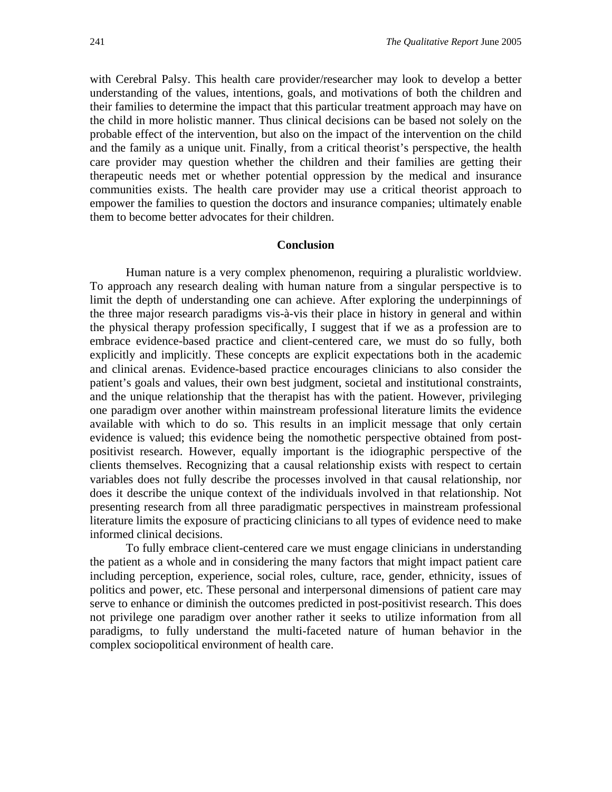with Cerebral Palsy. This health care provider/researcher may look to develop a better understanding of the values, intentions, goals, and motivations of both the children and their families to determine the impact that this particular treatment approach may have on the child in more holistic manner. Thus clinical decisions can be based not solely on the probable effect of the intervention, but also on the impact of the intervention on the child and the family as a unique unit. Finally, from a critical theorist's perspective, the health care provider may question whether the children and their families are getting their therapeutic needs met or whether potential oppression by the medical and insurance communities exists. The health care provider may use a critical theorist approach to empower the families to question the doctors and insurance companies; ultimately enable them to become better advocates for their children.

#### **Conclusion**

Human nature is a very complex phenomenon, requiring a pluralistic worldview. To approach any research dealing with human nature from a singular perspective is to limit the depth of understanding one can achieve. After exploring the underpinnings of the three major research paradigms vis-à-vis their place in history in general and within the physical therapy profession specifically, I suggest that if we as a profession are to embrace evidence-based practice and client-centered care, we must do so fully, both explicitly and implicitly. These concepts are explicit expectations both in the academic and clinical arenas. Evidence-based practice encourages clinicians to also consider the patient's goals and values, their own best judgment, societal and institutional constraints, and the unique relationship that the therapist has with the patient. However, privileging one paradigm over another within mainstream professional literature limits the evidence available with which to do so. This results in an implicit message that only certain evidence is valued; this evidence being the nomothetic perspective obtained from postpositivist research. However, equally important is the idiographic perspective of the clients themselves. Recognizing that a causal relationship exists with respect to certain variables does not fully describe the processes involved in that causal relationship, nor does it describe the unique context of the individuals involved in that relationship. Not presenting research from all three paradigmatic perspectives in mainstream professional literature limits the exposure of practicing clinicians to all types of evidence need to make informed clinical decisions.

To fully embrace client-centered care we must engage clinicians in understanding the patient as a whole and in considering the many factors that might impact patient care including perception, experience, social roles, culture, race, gender, ethnicity, issues of politics and power, etc. These personal and interpersonal dimensions of patient care may serve to enhance or diminish the outcomes predicted in post-positivist research. This does not privilege one paradigm over another rather it seeks to utilize information from all paradigms, to fully understand the multi-faceted nature of human behavior in the complex sociopolitical environment of health care.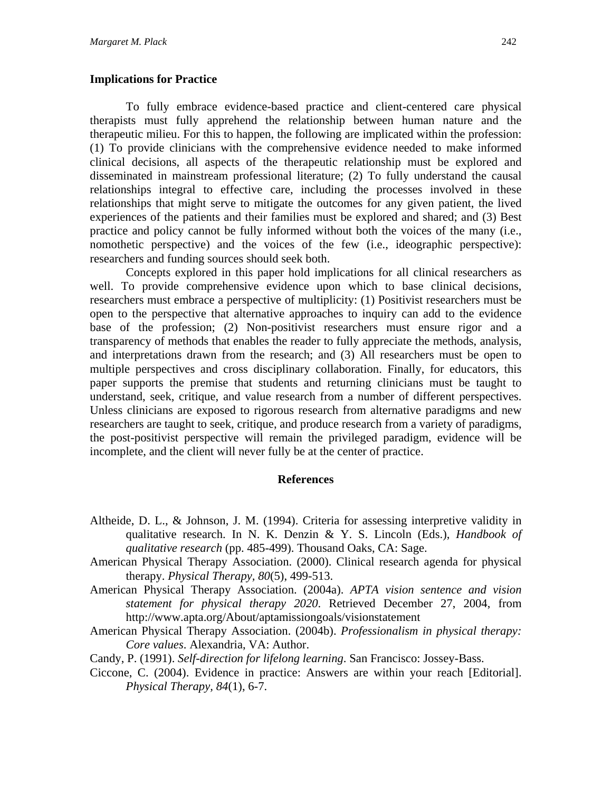## **Implications for Practice**

To fully embrace evidence-based practice and client-centered care physical therapists must fully apprehend the relationship between human nature and the therapeutic milieu. For this to happen, the following are implicated within the profession: (1) To provide clinicians with the comprehensive evidence needed to make informed clinical decisions, all aspects of the therapeutic relationship must be explored and disseminated in mainstream professional literature; (2) To fully understand the causal relationships integral to effective care, including the processes involved in these relationships that might serve to mitigate the outcomes for any given patient, the lived experiences of the patients and their families must be explored and shared; and (3) Best practice and policy cannot be fully informed without both the voices of the many (i.e., nomothetic perspective) and the voices of the few (i.e., ideographic perspective): researchers and funding sources should seek both.

Concepts explored in this paper hold implications for all clinical researchers as well. To provide comprehensive evidence upon which to base clinical decisions, researchers must embrace a perspective of multiplicity: (1) Positivist researchers must be open to the perspective that alternative approaches to inquiry can add to the evidence base of the profession; (2) Non-positivist researchers must ensure rigor and a transparency of methods that enables the reader to fully appreciate the methods, analysis, and interpretations drawn from the research; and (3) All researchers must be open to multiple perspectives and cross disciplinary collaboration. Finally, for educators, this paper supports the premise that students and returning clinicians must be taught to understand, seek, critique, and value research from a number of different perspectives. Unless clinicians are exposed to rigorous research from alternative paradigms and new researchers are taught to seek, critique, and produce research from a variety of paradigms, the post-positivist perspective will remain the privileged paradigm, evidence will be incomplete, and the client will never fully be at the center of practice.

## **References**

- Altheide, D. L., & Johnson, J. M. (1994). Criteria for assessing interpretive validity in qualitative research. In N. K. Denzin & Y. S. Lincoln (Eds.), *Handbook of qualitative research* (pp. 485-499). Thousand Oaks, CA: Sage.
- American Physical Therapy Association. (2000). Clinical research agenda for physical therapy. *Physical Therapy, 80*(5), 499-513.
- American Physical Therapy Association. (2004a). *APTA vision sentence and vision statement for physical therapy 2020*. Retrieved December 27, 2004, from http://www.apta.org/About/aptamissiongoals/visionstatement
- American Physical Therapy Association. (2004b). *Professionalism in physical therapy: Core values*. Alexandria, VA: Author.
- Candy, P. (1991). *Self-direction for lifelong learning*. San Francisco: Jossey-Bass.
- Ciccone, C. (2004). Evidence in practice: Answers are within your reach [Editorial]. *Physical Therapy, 84*(1), 6-7.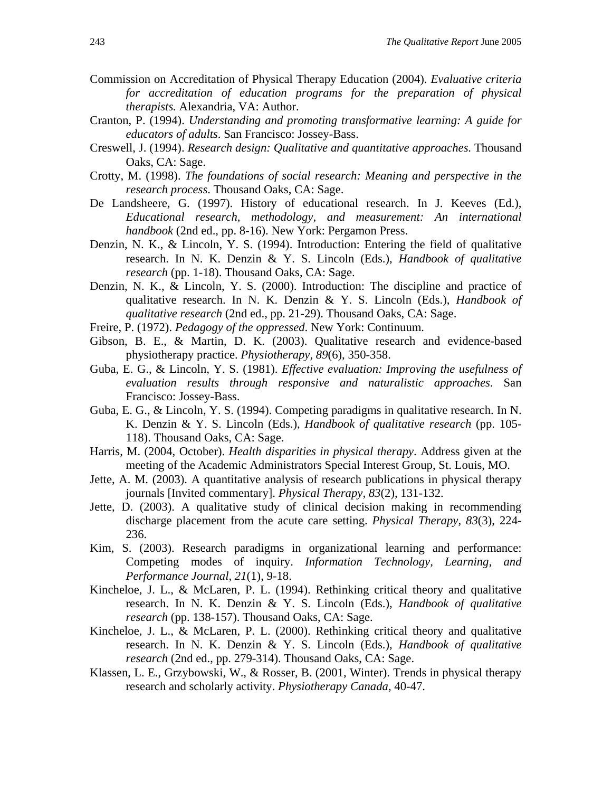- Commission on Accreditation of Physical Therapy Education (2004). *Evaluative criteria for accreditation of education programs for the preparation of physical therapists.* Alexandria, VA: Author.
- Cranton, P. (1994). *Understanding and promoting transformative learning: A guide for educators of adults*. San Francisco: Jossey-Bass.
- Creswell, J. (1994). *Research design: Qualitative and quantitative approaches*. Thousand Oaks, CA: Sage.
- Crotty, M. (1998). *The foundations of social research: Meaning and perspective in the research process*. Thousand Oaks, CA: Sage.
- De Landsheere, G. (1997). History of educational research. In J. Keeves (Ed.), *Educational research, methodology, and measurement: An international handbook* (2nd ed., pp. 8-16). New York: Pergamon Press.
- Denzin, N. K., & Lincoln, Y. S. (1994). Introduction: Entering the field of qualitative research. In N. K. Denzin & Y. S. Lincoln (Eds.), *Handbook of qualitative research* (pp. 1-18). Thousand Oaks, CA: Sage.
- Denzin, N. K., & Lincoln, Y. S. (2000). Introduction: The discipline and practice of qualitative research. In N. K. Denzin & Y. S. Lincoln (Eds.), *Handbook of qualitative research* (2nd ed., pp. 21-29). Thousand Oaks, CA: Sage.
- Freire, P. (1972). *Pedagogy of the oppressed*. New York: Continuum.
- Gibson, B. E., & Martin, D. K. (2003). Qualitative research and evidence-based physiotherapy practice. *Physiotherapy, 89*(6), 350-358.
- Guba, E. G., & Lincoln, Y. S. (1981). *Effective evaluation: Improving the usefulness of evaluation results through responsive and naturalistic approaches*. San Francisco: Jossey-Bass.
- Guba, E. G., & Lincoln, Y. S. (1994). Competing paradigms in qualitative research. In N. K. Denzin & Y. S. Lincoln (Eds.), *Handbook of qualitative research* (pp. 105- 118). Thousand Oaks, CA: Sage.
- Harris, M. (2004, October). *Health disparities in physical therapy*. Address given at the meeting of the Academic Administrators Special Interest Group, St. Louis, MO.
- Jette, A. M. (2003). A quantitative analysis of research publications in physical therapy journals [Invited commentary]. *Physical Therapy, 83*(2), 131-132.
- Jette, D. (2003). A qualitative study of clinical decision making in recommending discharge placement from the acute care setting. *Physical Therapy, 83*(3), 224- 236.
- Kim, S. (2003). Research paradigms in organizational learning and performance: Competing modes of inquiry. *Information Technology, Learning, and Performance Journal, 21*(1), 9-18.
- Kincheloe, J. L., & McLaren, P. L. (1994). Rethinking critical theory and qualitative research. In N. K. Denzin & Y. S. Lincoln (Eds.), *Handbook of qualitative research* (pp. 138-157). Thousand Oaks, CA: Sage.
- Kincheloe, J. L., & McLaren, P. L. (2000). Rethinking critical theory and qualitative research. In N. K. Denzin & Y. S. Lincoln (Eds.), *Handbook of qualitative research* (2nd ed., pp. 279-314). Thousand Oaks, CA: Sage.
- Klassen, L. E., Grzybowski, W., & Rosser, B. (2001, Winter). Trends in physical therapy research and scholarly activity. *Physiotherapy Canada,* 40-47.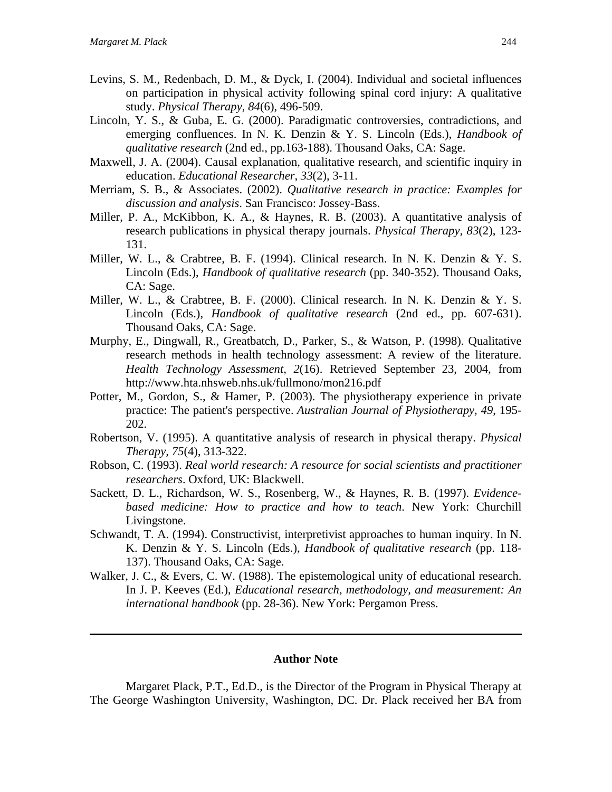- Levins, S. M., Redenbach, D. M., & Dyck, I. (2004). Individual and societal influences on participation in physical activity following spinal cord injury: A qualitative study. *Physical Therapy, 84*(6), 496-509.
- Lincoln, Y. S., & Guba, E. G. (2000). Paradigmatic controversies, contradictions, and emerging confluences. In N. K. Denzin & Y. S. Lincoln (Eds.), *Handbook of qualitative research* (2nd ed., pp.163-188). Thousand Oaks, CA: Sage.
- Maxwell, J. A. (2004). Causal explanation, qualitative research, and scientific inquiry in education. *Educational Researcher, 33*(2), 3-11.
- Merriam, S. B., & Associates. (2002). *Qualitative research in practice: Examples for discussion and analysis*. San Francisco: Jossey-Bass.
- Miller, P. A., McKibbon, K. A., & Haynes, R. B. (2003). A quantitative analysis of research publications in physical therapy journals. *Physical Therapy, 83*(2), 123- 131.
- Miller, W. L., & Crabtree, B. F. (1994). Clinical research. In N. K. Denzin & Y. S. Lincoln (Eds.), *Handbook of qualitative research* (pp. 340-352). Thousand Oaks, CA: Sage.
- Miller, W. L., & Crabtree, B. F. (2000). Clinical research. In N. K. Denzin & Y. S. Lincoln (Eds.), *Handbook of qualitative research* (2nd ed., pp. 607-631). Thousand Oaks, CA: Sage.
- Murphy, E., Dingwall, R., Greatbatch, D., Parker, S., & Watson, P. (1998). Qualitative research methods in health technology assessment: A review of the literature. *Health Technology Assessment, 2*(16). Retrieved September 23, 2004, from http://www.hta.nhsweb.nhs.uk/fullmono/mon216.pdf
- Potter, M., Gordon, S., & Hamer, P. (2003). The physiotherapy experience in private practice: The patient's perspective. *Australian Journal of Physiotherapy, 49*, 195- 202.
- Robertson, V. (1995). A quantitative analysis of research in physical therapy. *Physical Therapy, 75*(4), 313-322.
- Robson, C. (1993). *Real world research: A resource for social scientists and practitioner researchers*. Oxford, UK: Blackwell.
- Sackett, D. L., Richardson, W. S., Rosenberg, W., & Haynes, R. B. (1997). *Evidencebased medicine: How to practice and how to teach*. New York: Churchill Livingstone.
- Schwandt, T. A. (1994). Constructivist, interpretivist approaches to human inquiry. In N. K. Denzin & Y. S. Lincoln (Eds.), *Handbook of qualitative research* (pp. 118- 137). Thousand Oaks, CA: Sage.
- Walker, J. C., & Evers, C. W. (1988). The epistemological unity of educational research. In J. P. Keeves (Ed.), *Educational research, methodology, and measurement: An international handbook* (pp. 28-36). New York: Pergamon Press.

#### **Author Note**

Margaret Plack, P.T., Ed.D., is the Director of the Program in Physical Therapy at The George Washington University, Washington, DC. Dr. Plack received her BA from